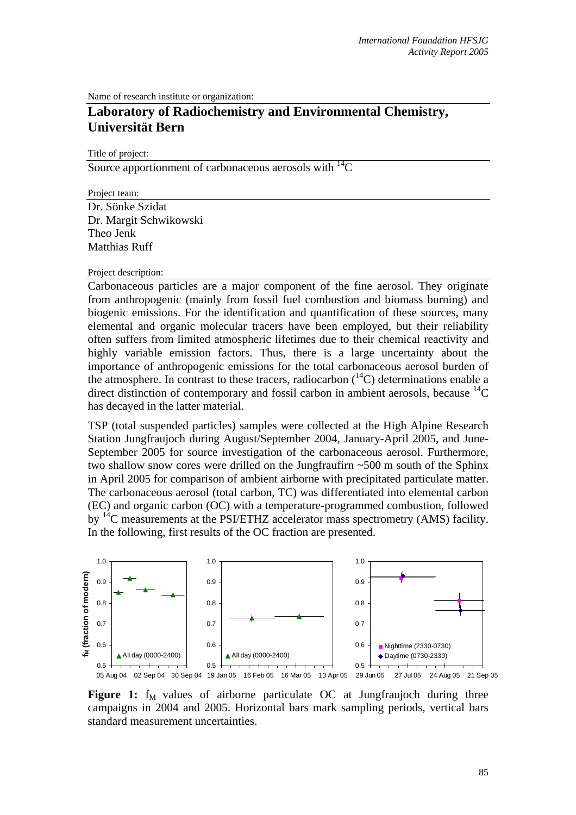Name of research institute or organization:

## **Laboratory of Radiochemistry and Environmental Chemistry, Universität Bern**

Title of project:

Source apportionment of carbonaceous aerosols with  ${}^{14}C$ 

Project team: Dr. Sönke Szidat Dr. Margit Schwikowski Theo Jenk Matthias Ruff

## Project description:

Carbonaceous particles are a major component of the fine aerosol. They originate from anthropogenic (mainly from fossil fuel combustion and biomass burning) and biogenic emissions. For the identification and quantification of these sources, many elemental and organic molecular tracers have been employed, but their reliability often suffers from limited atmospheric lifetimes due to their chemical reactivity and highly variable emission factors. Thus, there is a large uncertainty about the importance of anthropogenic emissions for the total carbonaceous aerosol burden of the atmosphere. In contrast to these tracers, radiocarbon  $(^{14}C)$  determinations enable a direct distinction of contemporary and fossil carbon in ambient aerosols, because  ${}^{14}C$ has decayed in the latter material.

TSP (total suspended particles) samples were collected at the High Alpine Research Station Jungfraujoch during August/September 2004, January-April 2005, and June-September 2005 for source investigation of the carbonaceous aerosol. Furthermore, two shallow snow cores were drilled on the Jungfraufirn ~500 m south of the Sphinx in April 2005 for comparison of ambient airborne with precipitated particulate matter. The carbonaceous aerosol (total carbon, TC) was differentiated into elemental carbon (EC) and organic carbon (OC) with a temperature-programmed combustion, followed by <sup>14</sup>C measurements at the PSI/ETHZ accelerator mass spectrometry (AMS) facility. In the following, first results of the OC fraction are presented.



**Figure 1:**  $f_M$  values of airborne particulate OC at Jungfraujoch during three campaigns in 2004 and 2005. Horizontal bars mark sampling periods, vertical bars standard measurement uncertainties.